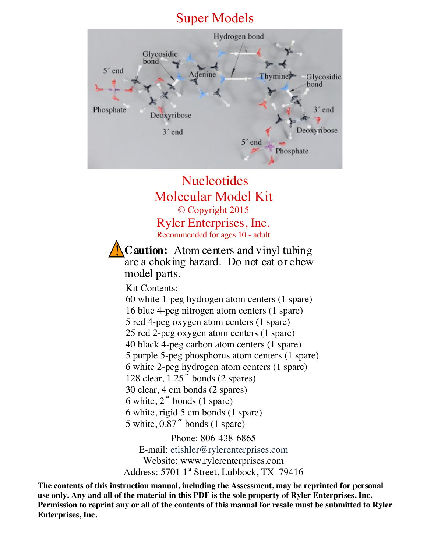# Super Models



# Nucleotides Molecular Model Kit © Copyright 2015 Ryler Enterprises, Inc. Recommended for ages 10 - adult

**Caution:** Atom centers and vinyl tubing are a choking hazard. Do not eat or chew model parts. !<br>!

Kit Contents:

60 white 1-peg hydrogen atom centers (1 spare) 16 blue 4-peg nitrogen atom centers (1 spare) 5 red 4-peg oxygen atom centers (1 spare) 25 red 2-peg oxygen atom centers (1 spare) 40 black 4-peg carbon atom centers (1 spare) 5 purple 5-peg phosphorus atom centers (1 spare) 6 white 2-peg hydrogen atom centers (1 spare) 128 clear, 1.25**˝** bonds (2 spares) 30 clear, 4 cm bonds (2 spares) 6 white, 2**˝** bonds (1 spare) 6 white, rigid 5 cm bonds (1 spare) 5 white, 0.87**˝** bonds (1 spare)

Phone: 806-438-6865 E-mail: etishler@rylerenterprises.com Website: www.rylerenterprises.com Address: 5701 1<sup>st</sup> Street, Lubbock, TX 79416

 **The contents of this instruction manual, including the Assessment, may be reprinted for personal use only. Any and all of the material in this PDF is the sole property of Ryler Enterprises, Inc. Permission to reprint any or all of the contents of this manual for resale must be submitted to Ryler Enterprises, Inc.**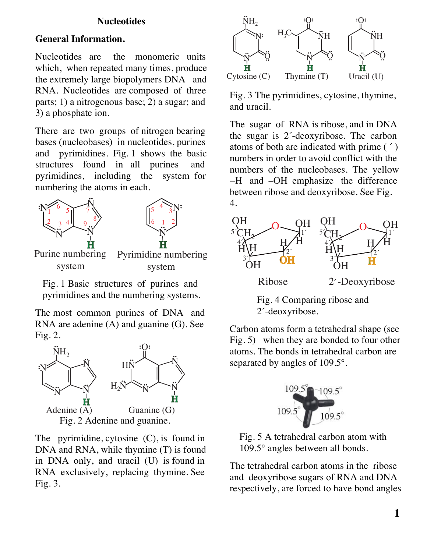#### **Nucleotides**

### **General Information.**

Nucleotides are the monomeric units which, when repeated many times, produce the extremely large biopolymers DNA and RNA. Nucleotides are composed of three parts; 1) a nitrogenous base; 2) a sugar; and 3) a phosphate ion.

There are two groups of nitrogen bearing bases (nucleobases) in nucleotides, purines and pyrimidines. Fig. 1 shows the basic structures found in all purines and pyrimidines, including the system for numbering the atoms in each.



 Fig. 1 Basic structures of purines and pyrimidines and the numbering systems.

The most common purines of DNA and RNA are adenine (A) and guanine (G). See Fig. 2.



The pyrimidine, cytosine (C), is found in DNA and RNA, while thymine (T) is found in DNA only, and uracil (U) is found in RNA exclusively, replacing thymine. See Fig. 3.



Fig. 3 The pyrimidines, cytosine, thymine, and uracil.

The sugar of RNA is ribose, and in DNA the sugar is 2´-deoxyribose. The carbon atoms of both are indicated with prime ( ´ ) numbers in order to avoid conflict with the numbers of the nucleobases. The yellow −H and –OH emphasize the difference between ribose and deoxyribose. See Fig. 4.



 Fig. 4 Comparing ribose and 2´-deoxyribose.

Carbon atoms form a tetrahedral shape (see Fig. 5) when they are bonded to four other atoms. The bonds in tetrahedral carbon are separated by angles of 109.5°.



 Fig. 5 A tetrahedral carbon atom with 109.5° angles between all bonds.

The tetrahedral carbon atoms in the ribose and deoxyribose sugars of RNA and DNA respectively, are forced to have bond angles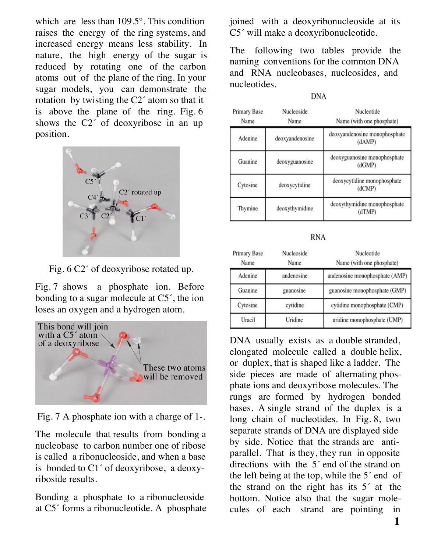which are less than 109.5°. This condition raises the energy of the ring systems, and increased energy means less stability. In nature, the high energy of the sugar is reduced by rotating one of the carbon atoms out of the plane of the ring. In your sugar models, you can demonstrate the rotation by twisting the C2´ atom so that it is above the plane of the ring. Fig. 6 shows the C2´ of deoxyribose in an up position.



Fig. 6 C2´ of deoxyribose rotated up.

Fig. 7 shows a phosphate ion. Before bonding to a sugar molecule at C5´, the ion loses an oxygen and a hydrogen atom.



Fig. 7 A phosphate ion with a charge of 1-.

The molecule that results from bonding a nucleobase to carbon number one of ribose is called a ribonucleoside, and when a base is bonded to C1´ of deoxyribose, a deoxyriboside results.

Bonding a phosphate to a ribonucleoside at C5´ forms a ribonucleotide. A phosphate

joined with a deoxyribonucleoside at its C5´ will make a deoxyribonucleotide.

The following two tables provide the naming conventions for the common DNA and RNA nucleobases, nucleosides, and nucleotides.

**DNA** 

| Primary Base<br>Name | Nucleoside<br>Name | Nucleotide<br>Name (with one phosphate) |
|----------------------|--------------------|-----------------------------------------|
| Adenine              | deoxyandenosine    | deoxyandenosine monophosphate<br>(dAMP) |
| Guanine              | deoxyguanosine     | deoxyguanosine monophosphate<br>(dGMP)  |
| Cytosine             | deoxycytidine      | deoxycytidine monophosphate<br>(dCMP)   |
| Thymine              | deoxythymidine     | deoxythymidine monophosphate<br>(dTMP)  |

**RNA** 

| <b>Primary Base</b><br>Name | Nucleoside<br>Name | Nucleotide<br>Name (with one phosphate) |
|-----------------------------|--------------------|-----------------------------------------|
| Adenine                     | andenosine         | andenosine monophosphate (AMP)          |
| Guanine                     | guanosine          | guanosine monophosphate (GMP)           |
| Cytosine                    | cytidine           | cytidine monophosphate (CMP)            |
| Uracil                      | Uridine            | uridine monophosphate (UMP)             |

DNA usually exists as a double stranded, elongated molecule called a double helix, or duplex, that is shaped like a ladder. The side pieces are made of alternating phosphate ions and deoxyribose molecules. The rungs are formed by hydrogen bonded bases. A single strand of the duplex is a long chain of nucleotides. In Fig. 8, two separate strands of DNA are displayed side by side. Notice that the strands are antiparallel. That is they, they run in opposite directions with the 5<sup>*'*</sup> end of the strand on the left being at the top, while the 5´ end of the strand on the right has its 5´ at the bottom. Notice also that the sugar molecules of each strand are pointing in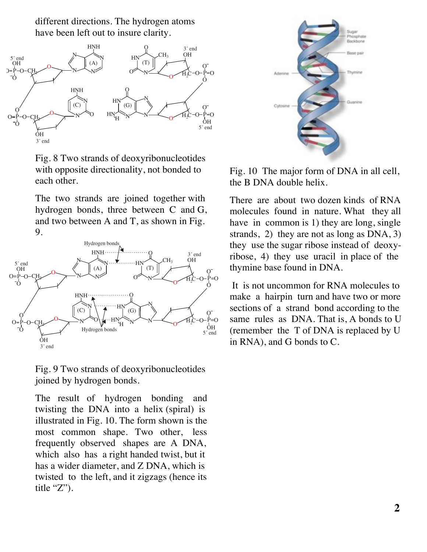different directions. The hydrogen atoms have been left out to insure clarity.



Fig. 8 Two strands of deoxyribonucleotides with opposite directionality, not bonded to each other.

The two strands are joined together with hydrogen bonds, three between C and G, and two between A and T, as shown in Fig. 9.



Fig. 9 Two strands of deoxyribonucleotides joined by hydrogen bonds.

The result of hydrogen bonding and twisting the DNA into a helix (spiral) is illustrated in Fig. 10. The form shown is the most common shape. Two other, less frequently observed shapes are A DNA, which also has a right handed twist, but it has a wider diameter, and Z DNA, which is twisted to the left, and it zigzags (hence its title "Z").



 Fig. 10 The major form of DNA in all cell, the B DNA double helix.

There are about two dozen kinds of RNA molecules found in nature. What they all have in common is 1) they are long, single strands, 2) they are not as long as DNA, 3) they use the sugar ribose instead of deoxyribose, 4) they use uracil in place of the thymine base found in DNA.

It is not uncommon for RNA molecules to make a hairpin turn and have two or more sections of a strand bond according to the same rules as DNA. That is, A bonds to U (remember the T of DNA is replaced by U in RNA), and G bonds to C.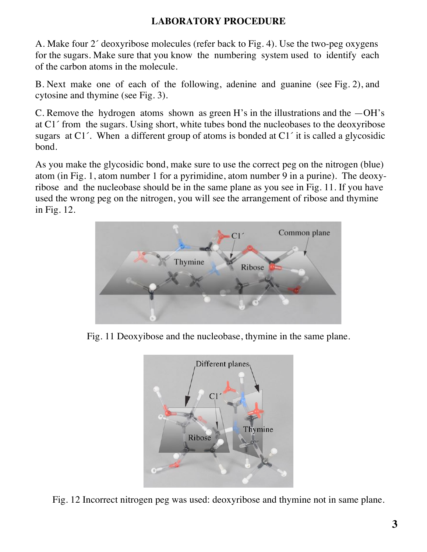## **LABORATORY PROCEDURE**

A. Make four 2´ deoxyribose molecules (refer back to Fig. 4). Use the two-peg oxygens for the sugars. Make sure that you know the numbering system used to identify each of the carbon atoms in the molecule.

B. Next make one of each of the following, adenine and guanine (see Fig. 2), and cytosine and thymine (see Fig. 3).

C. Remove the hydrogen atoms shown as green H's in the illustrations and the  $-OH$ 's at C1´ from the sugars. Using short, white tubes bond the nucleobases to the deoxyribose sugars at C1´. When a different group of atoms is bonded at C1´ it is called a glycosidic bond.

As you make the glycosidic bond, make sure to use the correct peg on the nitrogen (blue) atom (in Fig. 1, atom number 1 for a pyrimidine, atom number 9 in a purine). The deoxyribose and the nucleobase should be in the same plane as you see in Fig. 11. If you have used the wrong peg on the nitrogen, you will see the arrangement of ribose and thymine in Fig. 12.



Fig. 11 Deoxyibose and the nucleobase, thymine in the same plane.



Fig. 12 Incorrect nitrogen peg was used: deoxyribose and thymine not in same plane.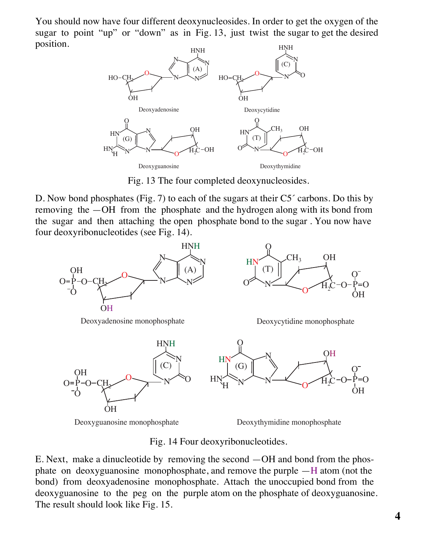You should now have four different deoxynucleosides. In order to get the oxygen of the sugar to point "up" or "down" as in Fig. 13, just twist the sugar to get the desired position. HNH



Fig. 13 The four completed deoxynucleosides.

D. Now bond phosphates (Fig. 7) to each of the sugars at their C5<sup> $\degree$ </sup> carbons. Do this by removing the —OH from the phosphate and the hydrogen along with its bond from the sugar and then attaching the open phosphate bond to the sugar . You now have four deoxyribonucleotides (see Fig. 14).



Fig. 14 Four deoxyribonucleotides.

E. Next, make a dinucleotide by removing the second —OH and bond from the phosphate on deoxyguanosine monophosphate, and remove the purple —H atom (not the bond) from deoxyadenosine monophosphate. Attach the unoccupied bond from the deoxyguanosine to the peg on the purple atom on the phosphate of deoxyguanosine. The result should look like Fig. 15.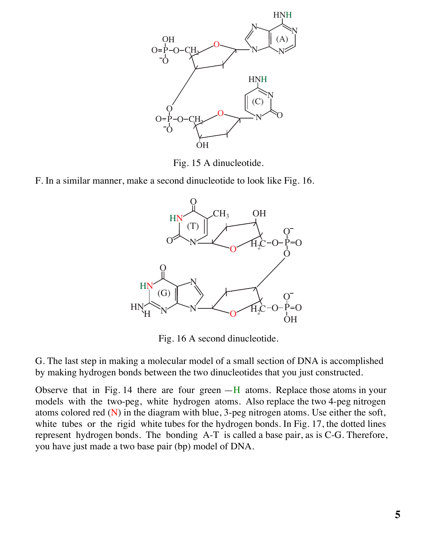

Fig. 15 A dinucleotide.

F. In a similar manner, make a second dinucleotide to look like Fig. 16.



Fig. 16 A second dinucleotide.

G. The last step in making a molecular model of a small section of DNA is accomplished by making hydrogen bonds between the two dinucleotides that you just constructed.

Observe that in Fig. 14 there are four green  $-H$  atoms. Replace those atoms in your models with the two-peg, white hydrogen atoms. Also replace the two 4-peg nitrogen atoms colored red  $(N)$  in the diagram with blue, 3-peg nitrogen atoms. Use either the soft, white tubes or the rigid white tubes for the hydrogen bonds. In Fig. 17, the dotted lines represent hydrogen bonds. The bonding A-T is called a base pair, as is C-G. Therefore, you have just made a two base pair (bp) model of DNA.